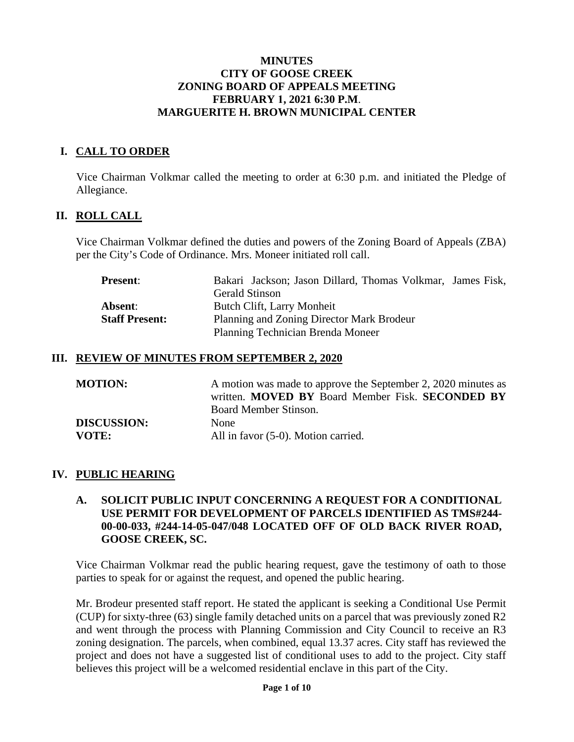### **MINUTES CITY OF GOOSE CREEK ZONING BOARD OF APPEALS MEETING FEBRUARY 1, 2021 6:30 P.M**. **MARGUERITE H. BROWN MUNICIPAL CENTER**

# **I. CALL TO ORDER**

Vice Chairman Volkmar called the meeting to order at 6:30 p.m. and initiated the Pledge of Allegiance.

## **II. ROLL CALL**

Vice Chairman Volkmar defined the duties and powers of the Zoning Board of Appeals (ZBA) per the City's Code of Ordinance. Mrs. Moneer initiated roll call.

| <b>Present:</b>       | Bakari Jackson; Jason Dillard, Thomas Volkmar, James Fisk, |
|-----------------------|------------------------------------------------------------|
|                       | <b>Gerald Stinson</b>                                      |
| Absent:               | Butch Clift, Larry Monheit                                 |
| <b>Staff Present:</b> | Planning and Zoning Director Mark Brodeur                  |
|                       | Planning Technician Brenda Moneer                          |

#### **III. REVIEW OF MINUTES FROM SEPTEMBER 2, 2020**

| <b>MOTION:</b>     | A motion was made to approve the September 2, 2020 minutes as<br>written. MOVED BY Board Member Fisk. SECONDED BY<br>Board Member Stinson. |
|--------------------|--------------------------------------------------------------------------------------------------------------------------------------------|
| <b>DISCUSSION:</b> | <b>None</b>                                                                                                                                |
| VOTE:              | All in favor (5-0). Motion carried.                                                                                                        |

### **IV. PUBLIC HEARING**

## **A. SOLICIT PUBLIC INPUT CONCERNING A REQUEST FOR A CONDITIONAL USE PERMIT FOR DEVELOPMENT OF PARCELS IDENTIFIED AS TMS#244- 00-00-033, #244-14-05-047/048 LOCATED OFF OF OLD BACK RIVER ROAD, GOOSE CREEK, SC.**

Vice Chairman Volkmar read the public hearing request, gave the testimony of oath to those parties to speak for or against the request, and opened the public hearing.

Mr. Brodeur presented staff report. He stated the applicant is seeking a Conditional Use Permit (CUP) for sixty-three (63) single family detached units on a parcel that was previously zoned R2 and went through the process with Planning Commission and City Council to receive an R3 zoning designation. The parcels, when combined, equal 13.37 acres. City staff has reviewed the project and does not have a suggested list of conditional uses to add to the project. City staff believes this project will be a welcomed residential enclave in this part of the City.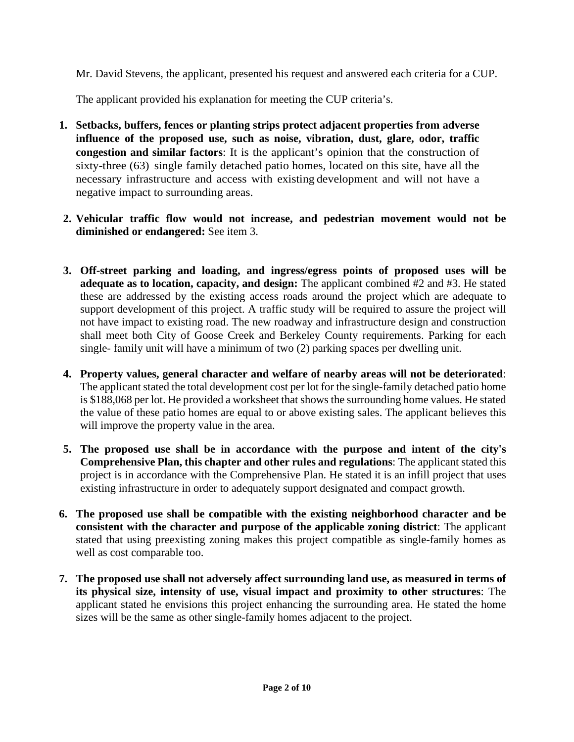Mr. David Stevens, the applicant, presented his request and answered each criteria for a CUP.

The applicant provided his explanation for meeting the CUP criteria's.

- **1. Setbacks, buffers, fences or planting strips protect adjacent properties from adverse influence of the proposed use, such as noise, vibration, dust, glare, odor, traffic congestion and similar factors**: It is the applicant's opinion that the construction of sixty-three (63) single family detached patio homes, located on this site, have all the necessary infrastructure and access with existing development and will not have a negative impact to surrounding areas.
- **2. Vehicular traffic flow would not increase, and pedestrian movement would not be diminished or endangered:** See item 3.
- **3. Off-street parking and loading, and ingress/egress points of proposed uses will be adequate as to location, capacity, and design:** The applicant combined #2 and #3. He stated these are addressed by the existing access roads around the project which are adequate to support development of this project. A traffic study will be required to assure the project will not have impact to existing road. The new roadway and infrastructure design and construction shall meet both City of Goose Creek and Berkeley County requirements. Parking for each single- family unit will have a minimum of two (2) parking spaces per dwelling unit.
- **4. Property values, general character and welfare of nearby areas will not be deteriorated**: The applicant stated the total development cost per lot for the single-family detached patio home is \$188,068 per lot. He provided a worksheet that shows the surrounding home values. He stated the value of these patio homes are equal to or above existing sales. The applicant believes this will improve the property value in the area.
- **5. The proposed use shall be in accordance with the purpose and intent of the city's Comprehensive Plan, this chapter and other rules and regulations**: The applicant stated this project is in accordance with the Comprehensive Plan. He stated it is an infill project that uses existing infrastructure in order to adequately support designated and compact growth.
- **6. The proposed use shall be compatible with the existing neighborhood character and be consistent with the character and purpose of the applicable zoning district**: The applicant stated that using preexisting zoning makes this project compatible as single-family homes as well as cost comparable too.
- **7. The proposed use shall not adversely affect surrounding land use, as measured in terms of its physical size, intensity of use, visual impact and proximity to other structures**: The applicant stated he envisions this project enhancing the surrounding area. He stated the home sizes will be the same as other single-family homes adjacent to the project.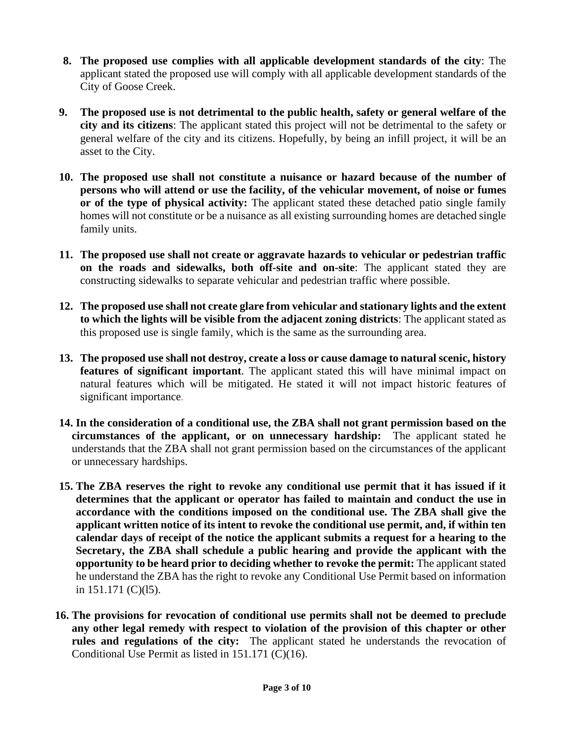- **8. The proposed use complies with all applicable development standards of the city**: The applicant stated the proposed use will comply with all applicable development standards of the City of Goose Creek.
- **9. The proposed use is not detrimental to the public health, safety or general welfare of the city and its citizens**: The applicant stated this project will not be detrimental to the safety or general welfare of the city and its citizens. Hopefully, by being an infill project, it will be an asset to the City.
- **10. The proposed use shall not constitute a nuisance or hazard because of the number of persons who will attend or use the facility, of the vehicular movement, of noise or fumes or of the type of physical activity:** The applicant stated these detached patio single family homes will not constitute or be a nuisance as all existing surrounding homes are detached single family units.
- **11. The proposed use shall not create or aggravate hazards to vehicular or pedestrian traffic on the roads and sidewalks, both off-site and on-site**: The applicant stated they are constructing sidewalks to separate vehicular and pedestrian traffic where possible.
- **12. The proposed use shall not create glare from vehicular and stationary lights and the extent to which the lights will be visible from the adjacent zoning districts**: The applicant stated as this proposed use is single family, which is the same as the surrounding area.
- **13. The proposed use shall not destroy, create a loss or cause damage to natural scenic, history features of significant important**. The applicant stated this will have minimal impact on natural features which will be mitigated. He stated it will not impact historic features of significant importance.
- **14. In the consideration of a conditional use, the ZBA shall not grant permission based on the circumstances of the applicant, or on unnecessary hardship:** The applicant stated he understands that the ZBA shall not grant permission based on the circumstances of the applicant or unnecessary hardships.
- **15. The ZBA reserves the right to revoke any conditional use permit that it has issued if it determines that the applicant or operator has failed to maintain and conduct the use in accordance with the conditions imposed on the conditional use. The ZBA shall give the applicant written notice of its intent to revoke the conditional use permit, and, if within ten calendar days of receipt of the notice the applicant submits a request for a hearing to the Secretary, the ZBA shall schedule a public hearing and provide the applicant with the opportunity to be heard prior to deciding whether to revoke the permit:** The applicant stated he understand the ZBA has the right to revoke any Conditional Use Permit based on information in 151.171 (C)(l5).
- **16. The provisions for revocation of conditional use permits shall not be deemed to preclude any other legal remedy with respect to violation of the provision of this chapter or other rules and regulations of the city:** The applicant stated he understands the revocation of Conditional Use Permit as listed in 151.171 (C)(16).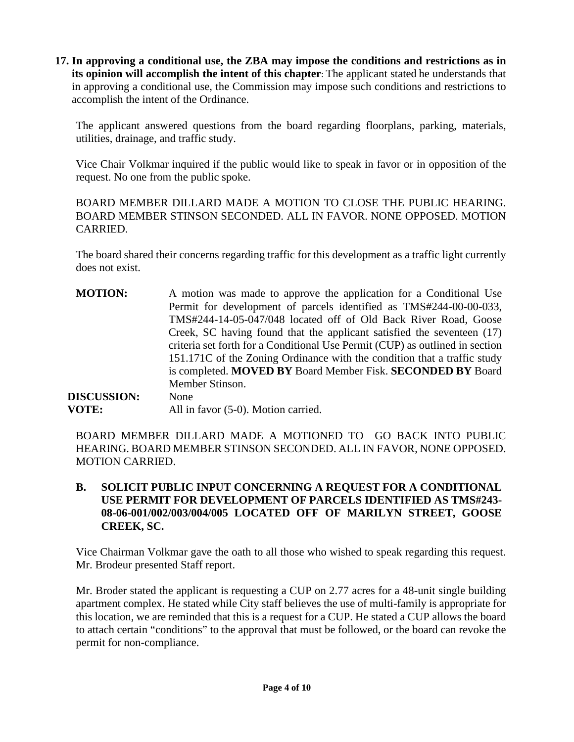**17. In approving a conditional use, the ZBA may impose the conditions and restrictions as in its opinion will accomplish the intent of this chapter**: The applicant stated he understands that in approving a conditional use, the Commission may impose such conditions and restrictions to accomplish the intent of the Ordinance.

The applicant answered questions from the board regarding floorplans, parking, materials, utilities, drainage, and traffic study.

Vice Chair Volkmar inquired if the public would like to speak in favor or in opposition of the request. No one from the public spoke.

BOARD MEMBER DILLARD MADE A MOTION TO CLOSE THE PUBLIC HEARING. BOARD MEMBER STINSON SECONDED. ALL IN FAVOR. NONE OPPOSED. MOTION CARRIED.

The board shared their concerns regarding traffic for this development as a traffic light currently does not exist.

**MOTION:** A motion was made to approve the application for a Conditional Use Permit for development of parcels identified as TMS#244-00-00-033, TMS#244-14-05-047/048 located off of Old Back River Road, Goose Creek, SC having found that the applicant satisfied the seventeen (17) criteria set forth for a Conditional Use Permit (CUP) as outlined in section 151.171C of the Zoning Ordinance with the condition that a traffic study is completed. **MOVED BY** Board Member Fisk. **SECONDED BY** Board Member Stinson. **DISCUSSION:** None

**VOTE:** All in favor (5-0). Motion carried.

BOARD MEMBER DILLARD MADE A MOTIONED TO GO BACK INTO PUBLIC HEARING. BOARD MEMBER STINSON SECONDED. ALL IN FAVOR, NONE OPPOSED. MOTION CARRIED.

# **B. SOLICIT PUBLIC INPUT CONCERNING A REQUEST FOR A CONDITIONAL USE PERMIT FOR DEVELOPMENT OF PARCELS IDENTIFIED AS TMS#243- 08-06-001/002/003/004/005 LOCATED OFF OF MARILYN STREET, GOOSE CREEK, SC.**

Vice Chairman Volkmar gave the oath to all those who wished to speak regarding this request. Mr. Brodeur presented Staff report.

Mr. Broder stated the applicant is requesting a CUP on 2.77 acres for a 48-unit single building apartment complex. He stated while City staff believes the use of multi-family is appropriate for this location, we are reminded that this is a request for a CUP. He stated a CUP allows the board to attach certain "conditions" to the approval that must be followed, or the board can revoke the permit for non-compliance.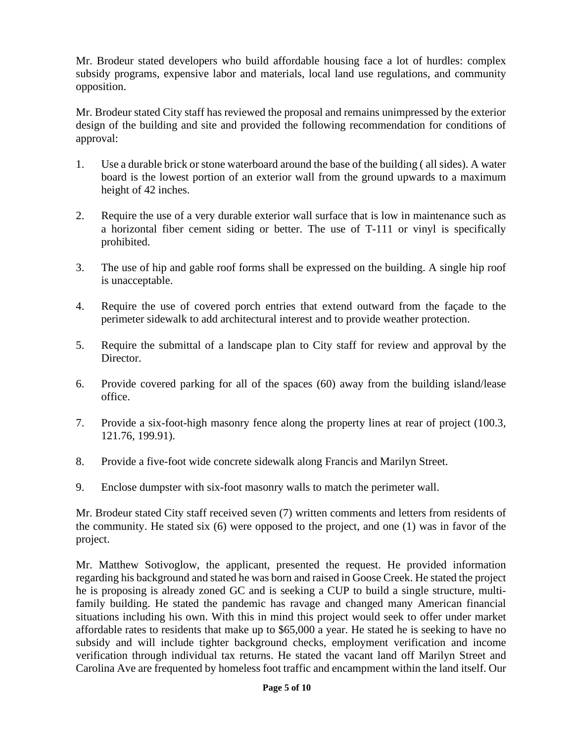Mr. Brodeur stated developers who build affordable housing face a lot of hurdles: complex subsidy programs, expensive labor and materials, local land use regulations, and community opposition.

Mr. Brodeur stated City staff has reviewed the proposal and remains unimpressed by the exterior design of the building and site and provided the following recommendation for conditions of approval:

- 1. Use a durable brick or stone waterboard around the base of the building ( all sides). A water board is the lowest portion of an exterior wall from the ground upwards to a maximum height of 42 inches.
- 2. Require the use of a very durable exterior wall surface that is low in maintenance such as a horizontal fiber cement siding or better. The use of T-111 or vinyl is specifically prohibited.
- 3. The use of hip and gable roof forms shall be expressed on the building. A single hip roof is unacceptable.
- 4. Require the use of covered porch entries that extend outward from the façade to the perimeter sidewalk to add architectural interest and to provide weather protection.
- 5. Require the submittal of a landscape plan to City staff for review and approval by the Director.
- 6. Provide covered parking for all of the spaces (60) away from the building island/lease office.
- 7. Provide a six-foot-high masonry fence along the property lines at rear of project (100.3, 121.76, 199.91).
- 8. Provide a five-foot wide concrete sidewalk along Francis and Marilyn Street.
- 9. Enclose dumpster with six-foot masonry walls to match the perimeter wall.

Mr. Brodeur stated City staff received seven (7) written comments and letters from residents of the community. He stated six (6) were opposed to the project, and one (1) was in favor of the project.

Mr. Matthew Sotivoglow, the applicant, presented the request. He provided information regarding his background and stated he was born and raised in Goose Creek. He stated the project he is proposing is already zoned GC and is seeking a CUP to build a single structure, multifamily building. He stated the pandemic has ravage and changed many American financial situations including his own. With this in mind this project would seek to offer under market affordable rates to residents that make up to \$65,000 a year. He stated he is seeking to have no subsidy and will include tighter background checks, employment verification and income verification through individual tax returns. He stated the vacant land off Marilyn Street and Carolina Ave are frequented by homeless foot traffic and encampment within the land itself. Our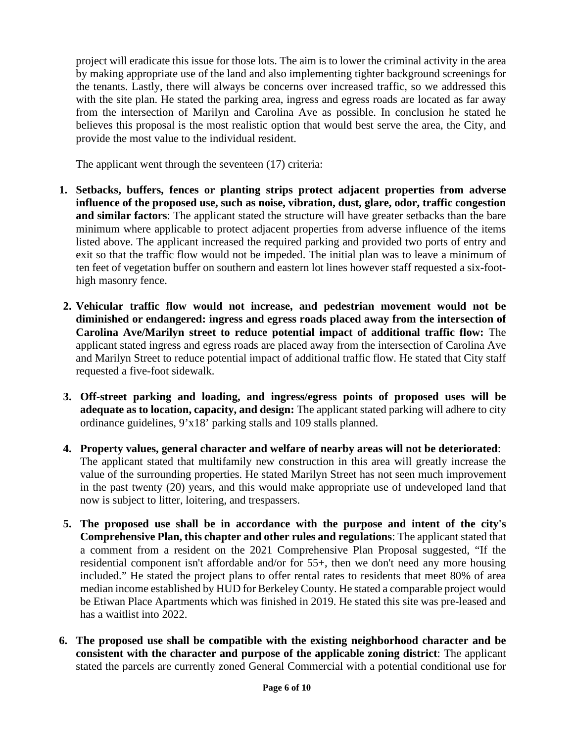project will eradicate this issue for those lots. The aim is to lower the criminal activity in the area by making appropriate use of the land and also implementing tighter background screenings for the tenants. Lastly, there will always be concerns over increased traffic, so we addressed this with the site plan. He stated the parking area, ingress and egress roads are located as far away from the intersection of Marilyn and Carolina Ave as possible. In conclusion he stated he believes this proposal is the most realistic option that would best serve the area, the City, and provide the most value to the individual resident.

The applicant went through the seventeen (17) criteria:

- **1. Setbacks, buffers, fences or planting strips protect adjacent properties from adverse influence of the proposed use, such as noise, vibration, dust, glare, odor, traffic congestion and similar factors**: The applicant stated the structure will have greater setbacks than the bare minimum where applicable to protect adjacent properties from adverse influence of the items listed above. The applicant increased the required parking and provided two ports of entry and exit so that the traffic flow would not be impeded. The initial plan was to leave a minimum of ten feet of vegetation buffer on southern and eastern lot lines however staff requested a six-foothigh masonry fence.
- **2. Vehicular traffic flow would not increase, and pedestrian movement would not be diminished or endangered: ingress and egress roads placed away from the intersection of Carolina Ave/Marilyn street to reduce potential impact of additional traffic flow:** The applicant stated ingress and egress roads are placed away from the intersection of Carolina Ave and Marilyn Street to reduce potential impact of additional traffic flow. He stated that City staff requested a five-foot sidewalk.
- **3. Off-street parking and loading, and ingress/egress points of proposed uses will be adequate as to location, capacity, and design:** The applicant stated parking will adhere to city ordinance guidelines, 9'x18' parking stalls and 109 stalls planned.
- **4. Property values, general character and welfare of nearby areas will not be deteriorated**: The applicant stated that multifamily new construction in this area will greatly increase the value of the surrounding properties. He stated Marilyn Street has not seen much improvement in the past twenty (20) years, and this would make appropriate use of undeveloped land that now is subject to litter, loitering, and trespassers.
- **5. The proposed use shall be in accordance with the purpose and intent of the city's Comprehensive Plan, this chapter and other rules and regulations**: The applicant stated that a comment from a resident on the 2021 Comprehensive Plan Proposal suggested, "If the residential component isn't affordable and/or for 55+, then we don't need any more housing included." He stated the project plans to offer rental rates to residents that meet 80% of area median income established by HUD for Berkeley County. He stated a comparable project would be Etiwan Place Apartments which was finished in 2019. He stated this site was pre-leased and has a waitlist into 2022.
- **6. The proposed use shall be compatible with the existing neighborhood character and be consistent with the character and purpose of the applicable zoning district**: The applicant stated the parcels are currently zoned General Commercial with a potential conditional use for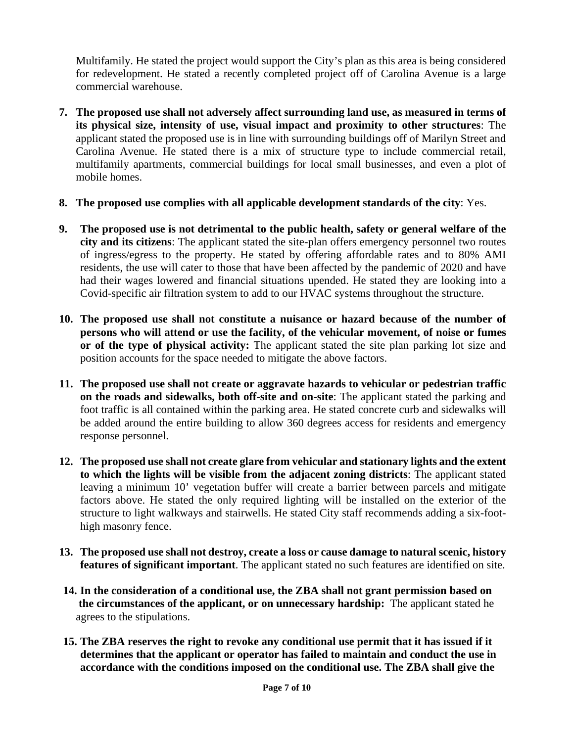Multifamily. He stated the project would support the City's plan as this area is being considered for redevelopment. He stated a recently completed project off of Carolina Avenue is a large commercial warehouse.

- **7. The proposed use shall not adversely affect surrounding land use, as measured in terms of its physical size, intensity of use, visual impact and proximity to other structures**: The applicant stated the proposed use is in line with surrounding buildings off of Marilyn Street and Carolina Avenue. He stated there is a mix of structure type to include commercial retail, multifamily apartments, commercial buildings for local small businesses, and even a plot of mobile homes.
- **8. The proposed use complies with all applicable development standards of the city**: Yes.
- **9. The proposed use is not detrimental to the public health, safety or general welfare of the city and its citizens**: The applicant stated the site-plan offers emergency personnel two routes of ingress/egress to the property. He stated by offering affordable rates and to 80% AMI residents, the use will cater to those that have been affected by the pandemic of 2020 and have had their wages lowered and financial situations upended. He stated they are looking into a Covid-specific air filtration system to add to our HVAC systems throughout the structure.
- **10. The proposed use shall not constitute a nuisance or hazard because of the number of persons who will attend or use the facility, of the vehicular movement, of noise or fumes or of the type of physical activity:** The applicant stated the site plan parking lot size and position accounts for the space needed to mitigate the above factors.
- **11. The proposed use shall not create or aggravate hazards to vehicular or pedestrian traffic on the roads and sidewalks, both off-site and on-site**: The applicant stated the parking and foot traffic is all contained within the parking area. He stated concrete curb and sidewalks will be added around the entire building to allow 360 degrees access for residents and emergency response personnel.
- **12. The proposed use shall not create glare from vehicular and stationary lights and the extent to which the lights will be visible from the adjacent zoning districts**: The applicant stated leaving a minimum 10' vegetation buffer will create a barrier between parcels and mitigate factors above. He stated the only required lighting will be installed on the exterior of the structure to light walkways and stairwells. He stated City staff recommends adding a six-foothigh masonry fence.
- **13. The proposed use shall not destroy, create a loss or cause damage to natural scenic, history features of significant important**. The applicant stated no such features are identified on site.
- **14. In the consideration of a conditional use, the ZBA shall not grant permission based on the circumstances of the applicant, or on unnecessary hardship:** The applicant stated he agrees to the stipulations.
- **15. The ZBA reserves the right to revoke any conditional use permit that it has issued if it determines that the applicant or operator has failed to maintain and conduct the use in accordance with the conditions imposed on the conditional use. The ZBA shall give the**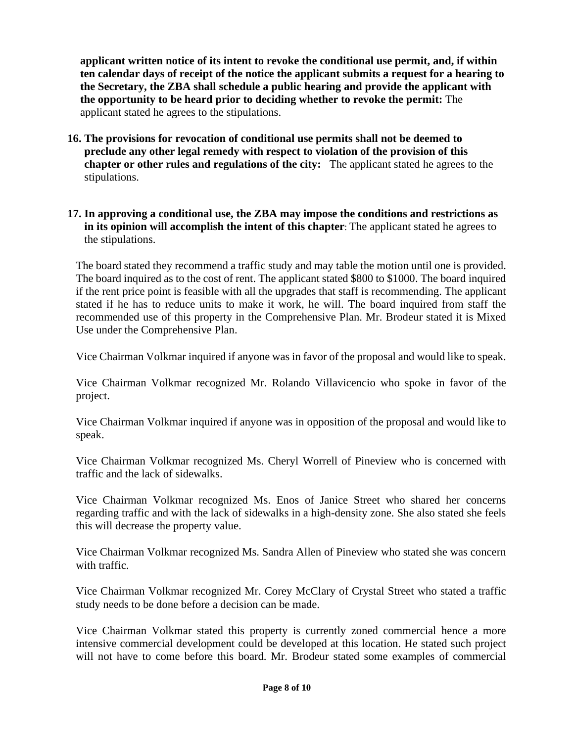**applicant written notice of its intent to revoke the conditional use permit, and, if within ten calendar days of receipt of the notice the applicant submits a request for a hearing to the Secretary, the ZBA shall schedule a public hearing and provide the applicant with the opportunity to be heard prior to deciding whether to revoke the permit:** The applicant stated he agrees to the stipulations.

**16. The provisions for revocation of conditional use permits shall not be deemed to preclude any other legal remedy with respect to violation of the provision of this chapter or other rules and regulations of the city:** The applicant stated he agrees to the stipulations.

# **17. In approving a conditional use, the ZBA may impose the conditions and restrictions as in its opinion will accomplish the intent of this chapter**: The applicant stated he agrees to the stipulations.

The board stated they recommend a traffic study and may table the motion until one is provided. The board inquired as to the cost of rent. The applicant stated \$800 to \$1000. The board inquired if the rent price point is feasible with all the upgrades that staff is recommending. The applicant stated if he has to reduce units to make it work, he will. The board inquired from staff the recommended use of this property in the Comprehensive Plan. Mr. Brodeur stated it is Mixed Use under the Comprehensive Plan.

Vice Chairman Volkmar inquired if anyone was in favor of the proposal and would like to speak.

Vice Chairman Volkmar recognized Mr. Rolando Villavicencio who spoke in favor of the project.

Vice Chairman Volkmar inquired if anyone was in opposition of the proposal and would like to speak.

Vice Chairman Volkmar recognized Ms. Cheryl Worrell of Pineview who is concerned with traffic and the lack of sidewalks.

Vice Chairman Volkmar recognized Ms. Enos of Janice Street who shared her concerns regarding traffic and with the lack of sidewalks in a high-density zone. She also stated she feels this will decrease the property value.

Vice Chairman Volkmar recognized Ms. Sandra Allen of Pineview who stated she was concern with traffic.

Vice Chairman Volkmar recognized Mr. Corey McClary of Crystal Street who stated a traffic study needs to be done before a decision can be made.

Vice Chairman Volkmar stated this property is currently zoned commercial hence a more intensive commercial development could be developed at this location. He stated such project will not have to come before this board. Mr. Brodeur stated some examples of commercial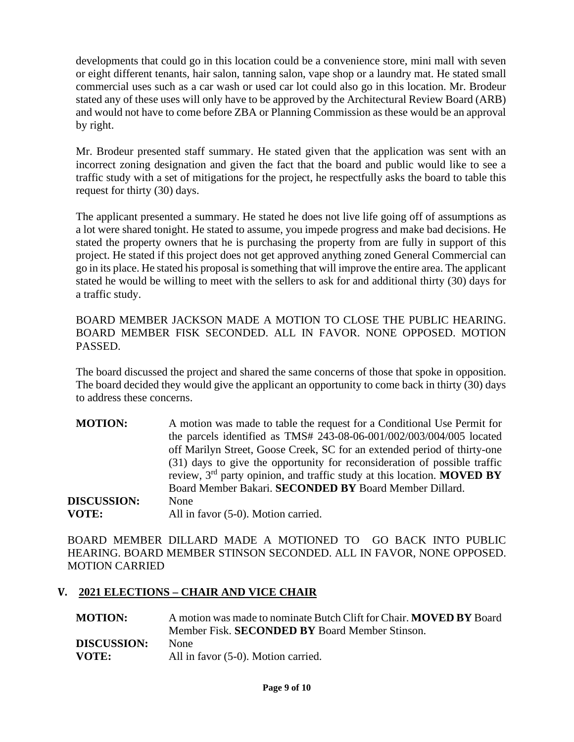developments that could go in this location could be a convenience store, mini mall with seven or eight different tenants, hair salon, tanning salon, vape shop or a laundry mat. He stated small commercial uses such as a car wash or used car lot could also go in this location. Mr. Brodeur stated any of these uses will only have to be approved by the Architectural Review Board (ARB) and would not have to come before ZBA or Planning Commission as these would be an approval by right.

Mr. Brodeur presented staff summary. He stated given that the application was sent with an incorrect zoning designation and given the fact that the board and public would like to see a traffic study with a set of mitigations for the project, he respectfully asks the board to table this request for thirty (30) days.

The applicant presented a summary. He stated he does not live life going off of assumptions as a lot were shared tonight. He stated to assume, you impede progress and make bad decisions. He stated the property owners that he is purchasing the property from are fully in support of this project. He stated if this project does not get approved anything zoned General Commercial can go in its place. He stated his proposal is something that will improve the entire area. The applicant stated he would be willing to meet with the sellers to ask for and additional thirty (30) days for a traffic study.

BOARD MEMBER JACKSON MADE A MOTION TO CLOSE THE PUBLIC HEARING. BOARD MEMBER FISK SECONDED. ALL IN FAVOR. NONE OPPOSED. MOTION PASSED.

The board discussed the project and shared the same concerns of those that spoke in opposition. The board decided they would give the applicant an opportunity to come back in thirty (30) days to address these concerns.

| <b>MOTION:</b>     | A motion was made to table the request for a Conditional Use Permit for          |
|--------------------|----------------------------------------------------------------------------------|
|                    | the parcels identified as TMS# $243-08-06-001/002/003/004/005$ located           |
|                    | off Marilyn Street, Goose Creek, SC for an extended period of thirty-one         |
|                    | (31) days to give the opportunity for reconsideration of possible traffic        |
|                    | review, $3rd$ party opinion, and traffic study at this location. <b>MOVED BY</b> |
|                    | Board Member Bakari. SECONDED BY Board Member Dillard.                           |
| <b>DISCUSSION:</b> | None                                                                             |
| <b>VOTE:</b>       | All in favor (5-0). Motion carried.                                              |

BOARD MEMBER DILLARD MADE A MOTIONED TO GO BACK INTO PUBLIC HEARING. BOARD MEMBER STINSON SECONDED. ALL IN FAVOR, NONE OPPOSED. MOTION CARRIED

# **V. 2021 ELECTIONS – CHAIR AND VICE CHAIR**

| A motion was made to nominate Butch Clift for Chair. <b>MOVED BY</b> Board |
|----------------------------------------------------------------------------|
| Member Fisk. <b>SECONDED BY</b> Board Member Stinson.                      |
| <b>None</b>                                                                |
| All in favor (5-0). Motion carried.                                        |
|                                                                            |